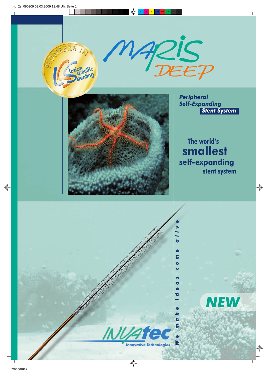





*Peripheral Self-Expanding Stent System*

 **The world's smallest self-expanding stent system**

*NEW*